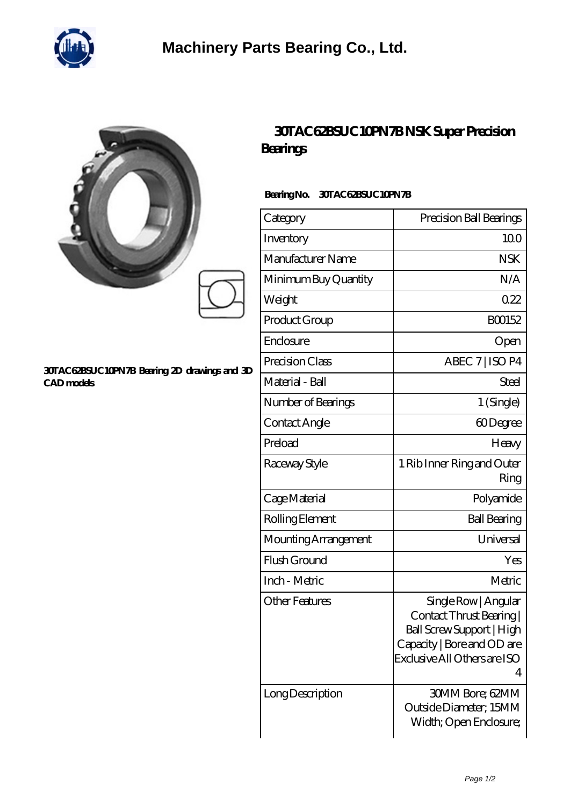

|   | 3               |
|---|-----------------|
|   | Bea             |
|   | Bear            |
|   | Cat             |
| g | <b>Inve</b>     |
|   | Ma              |
|   | Mir             |
|   | We              |
|   | Dr <sub>o</sub> |

## **[30TAC62BSUC10PN7B Bearing 2D drawings and 3D](https://hawaiicommercialpainting.com/pic-748650.html) [CAD models](https://hawaiicommercialpainting.com/pic-748650.html)**

## **[30TAC62BSUC10PN7B NSK Super Precision](https://hawaiicommercialpainting.com/super-precision-bearings/30tac62bsuc10pn7b.html) [Bearings](https://hawaiicommercialpainting.com/super-precision-bearings/30tac62bsuc10pn7b.html)**

## **Bearing No. 30TAC62BSUC10PN7B**

| Category              | Precision Ball Bearings                                                                                                                        |
|-----------------------|------------------------------------------------------------------------------------------------------------------------------------------------|
| Inventory             | 100                                                                                                                                            |
| Manufacturer Name     | <b>NSK</b>                                                                                                                                     |
| Minimum Buy Quantity  | N/A                                                                                                                                            |
| Weight                | 022                                                                                                                                            |
| Product Group         | BO0152                                                                                                                                         |
| Enclosure             | Open                                                                                                                                           |
| Precision Class       | ABEC 7   ISO P4                                                                                                                                |
| Material - Ball       | Steel                                                                                                                                          |
| Number of Bearings    | 1 (Single)                                                                                                                                     |
| Contact Angle         | 60Degree                                                                                                                                       |
| Preload               | Heavy                                                                                                                                          |
| Raceway Style         | 1 Rib Inner Ring and Outer<br>Ring                                                                                                             |
| Cage Material         | Polyamide                                                                                                                                      |
| Rolling Element       | <b>Ball Bearing</b>                                                                                                                            |
| Mounting Arrangement  | Universal                                                                                                                                      |
| Flush Ground          | Yes                                                                                                                                            |
| Inch - Metric         | Metric                                                                                                                                         |
| <b>Other Features</b> | Single Row   Angular<br>Contact Thrust Bearing<br>Ball Screw Support   High<br>Capacity   Bore and OD are<br>Exclusive All Others are ISO<br>4 |
| Long Description      | <b>30MM Bore; 62MM</b><br>Outside Diameter; 15MM<br>Width; Open Enclosure;                                                                     |